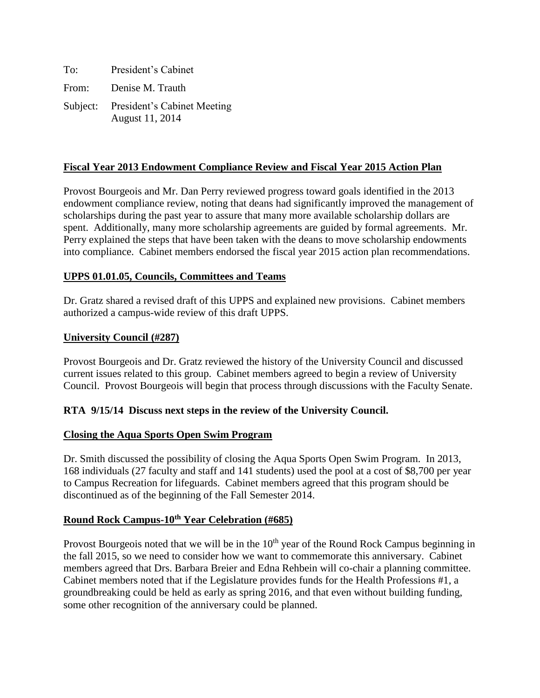| To: | President's Cabinet                                     |
|-----|---------------------------------------------------------|
|     | From: Denise M. Trauth                                  |
|     | Subject: President's Cabinet Meeting<br>August 11, 2014 |

# **Fiscal Year 2013 Endowment Compliance Review and Fiscal Year 2015 Action Plan**

Provost Bourgeois and Mr. Dan Perry reviewed progress toward goals identified in the 2013 endowment compliance review, noting that deans had significantly improved the management of scholarships during the past year to assure that many more available scholarship dollars are spent. Additionally, many more scholarship agreements are guided by formal agreements. Mr. Perry explained the steps that have been taken with the deans to move scholarship endowments into compliance. Cabinet members endorsed the fiscal year 2015 action plan recommendations.

# **UPPS 01.01.05, Councils, Committees and Teams**

Dr. Gratz shared a revised draft of this UPPS and explained new provisions. Cabinet members authorized a campus-wide review of this draft UPPS.

# **University Council (#287)**

Provost Bourgeois and Dr. Gratz reviewed the history of the University Council and discussed current issues related to this group. Cabinet members agreed to begin a review of University Council. Provost Bourgeois will begin that process through discussions with the Faculty Senate.

# **RTA 9/15/14 Discuss next steps in the review of the University Council.**

### **Closing the Aqua Sports Open Swim Program**

Dr. Smith discussed the possibility of closing the Aqua Sports Open Swim Program. In 2013, 168 individuals (27 faculty and staff and 141 students) used the pool at a cost of \$8,700 per year to Campus Recreation for lifeguards. Cabinet members agreed that this program should be discontinued as of the beginning of the Fall Semester 2014.

# **Round Rock Campus-10th Year Celebration (#685)**

Provost Bourgeois noted that we will be in the  $10<sup>th</sup>$  year of the Round Rock Campus beginning in the fall 2015, so we need to consider how we want to commemorate this anniversary. Cabinet members agreed that Drs. Barbara Breier and Edna Rehbein will co-chair a planning committee. Cabinet members noted that if the Legislature provides funds for the Health Professions #1, a groundbreaking could be held as early as spring 2016, and that even without building funding, some other recognition of the anniversary could be planned.